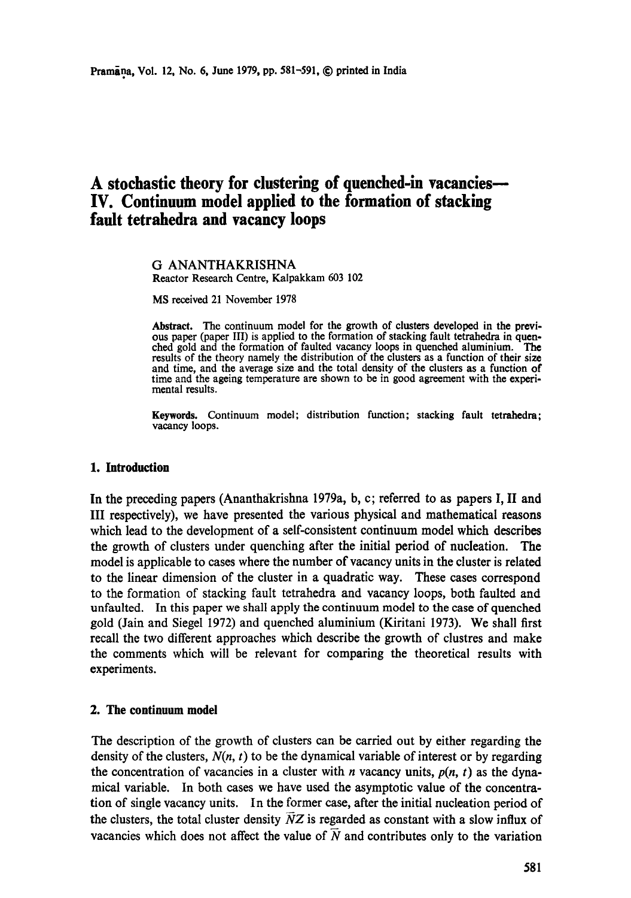# **A stochastic theory for clustering of quenched-in vacancies-- IV. Continuum model applied to the formation of stacking fault tetrahedra and vacancy loops**

#### G ANANTHAKRISHNA Reactor Research Centre, Kalpakkam 603 102

MS received 21 November 1978

**Abstract.** The continuum model for the growth of clusters developed in the previous paper (paper III) is applied to the formation of stacking fault tetrahedra in quenched gold and the formation of faulted vacancy loops in quenched aluminium. The results of **the** theory namely the distribution of the clusters as a function of their size and time, and the average size and the total density of the dusters as a function of time and the ageing temperature are shown to be in good agreement with the experimental results.

**Keywords.** Continuum model; distribution function; stacking fault tetrahedra; vacancy loops.

### **1. Introduction**

In the preceding papers (Ananthakrishna 1979a, b, c; referred to as papers I, II and III respectively), we have presented the various physical and mathematical reasons which lead to the development of a self-consistent continuum model which describes the growth of clusters under quenching after the initial period of nucleation. The model is applicable to cases where the number of vacancy units in the cluster is related to the linear dimension of the cluster in a quadratic way. These cases correspond to the formation of stacking fault tetrahedra and vacancy loops, both faulted and unfaulted. In this paper we shall apply the continuum model to the ease of quenched gold (Jain and Siegel 1972) and quenched aluminium (Kiritani 1973). We shall first recall the two different approaches which describe the growth of clustres and make the comments which will be relevant for comparing the theoretical results with experiments.

## **2. The continuum model**

The description of the growth of clusters can be carried out by either regarding the density of the clusters,  $N(n, t)$  to be the dynamical variable of interest or by regarding the concentration of vacancies in a cluster with *n* vacancy units,  $p(n, t)$  as the dynamical variable. In both eases we have used the asymptotic value of the concentration of single vacancy units. In the former case, after the initial nucleation period of the clusters, the total cluster density  $\overline{N}Z$  is regarded as constant with a slow influx of vacancies which does not affect the value of  $N$  and contributes only to the variation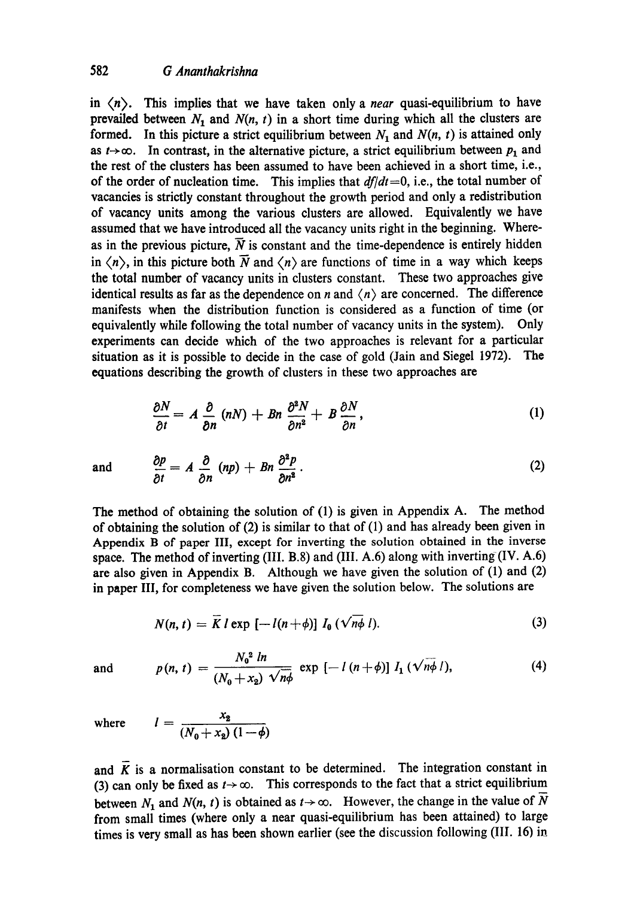# 582 *G Ananthakrishna*

in  $\langle n \rangle$ . This implies that we have taken only a *near* quasi-equilibrium to have prevailed between  $N_1$  and  $N(n, t)$  in a short time during which all the clusters are formed. In this picture a strict equilibrium between  $N_1$  and  $N(n, t)$  is attained only as  $t\rightarrow\infty$ . In contrast, in the alternative picture, a strict equilibrium between  $p_1$  and the rest of the clusters has been assumed to have been achieved in a short time, i.e., of the order of nucleation time. This implies that  $df/dt=0$ , i.e., the total number of vacancies is strictly constant throughout the growth period and only a redistribution of vacancy units among the various dusters are allowed. Equivalently we have assumed that we have introduced all the vacancy units right in the beginning. Whereas in the previous picture,  $\overline{N}$  is constant and the time-dependence is entirely hidden in  $\langle n \rangle$ , in this picture both  $\overline{N}$  and  $\langle n \rangle$  are functions of time in a way which keeps the total number of vacancy units in clusters constant. These two approaches give identical results as far as the dependence on n and  $\langle n \rangle$  are concerned. The difference manifests when the distribution function is considered as a function of time (or equivalently while following the total number of vacancy units in the system). Only experiments can decide which of the two approaches is relevant for a particular situation as it is possible to decide in the case of gold (Jain and Siegel 1972). The equations describing the growth of clusters in these two approaches are

$$
\frac{\partial N}{\partial t} = A \frac{\partial}{\partial n} (nN) + Bn \frac{\partial^2 N}{\partial n^2} + B \frac{\partial N}{\partial n}, \qquad (1)
$$

and 
$$
\frac{\partial p}{\partial t} = A \frac{\partial}{\partial n} (np) + Bn \frac{\partial^2 p}{\partial n^2}.
$$
 (2)

The method of obtaining the solution of (1) is given in Appendix A. The method of obtaining the solution of (2) is similar to that of (1) and has already been given in Appendix B of paper III, except for inverting the solution obtained in the inverse space. The method of inverting (IlL B.8) and (III. A.6) along with inverting (IV. A.6) are also given in Appendix B. Although we have given the solution of (1) and (2) in paper III, for completeness we have given the solution below. The solutions are

 $- - -$ 

$$
N(n, t) = \overline{K} \, l \exp \left[ -l(n+\phi) \right] \, I_0 \left( \sqrt{n\phi} \, l \right). \tag{3}
$$

and 
$$
p(n, t) = \frac{N_0^2 ln}{(N_0 + x_2) \sqrt{n \phi}} \exp \left[-l (n + \phi)\right] I_1(\sqrt{n \phi} l),
$$
 (4)

where  $l = \frac{x_2}{(N_0 + x_2) (1 - \phi)}$ 

and  $\overline{K}$  is a normalisation constant to be determined. The integration constant in (3) can only be fixed as  $t \rightarrow \infty$ . This corresponds to the fact that a strict equilibrium between  $N_1$  and  $N(n, t)$  is obtained as  $t \rightarrow \infty$ . However, the change in the value of  $\overline{N}$ from small times (where only a near quasi-equilibrium has been attained) to large times is very small as has been shown earlier (see the discussion following (III. 16) in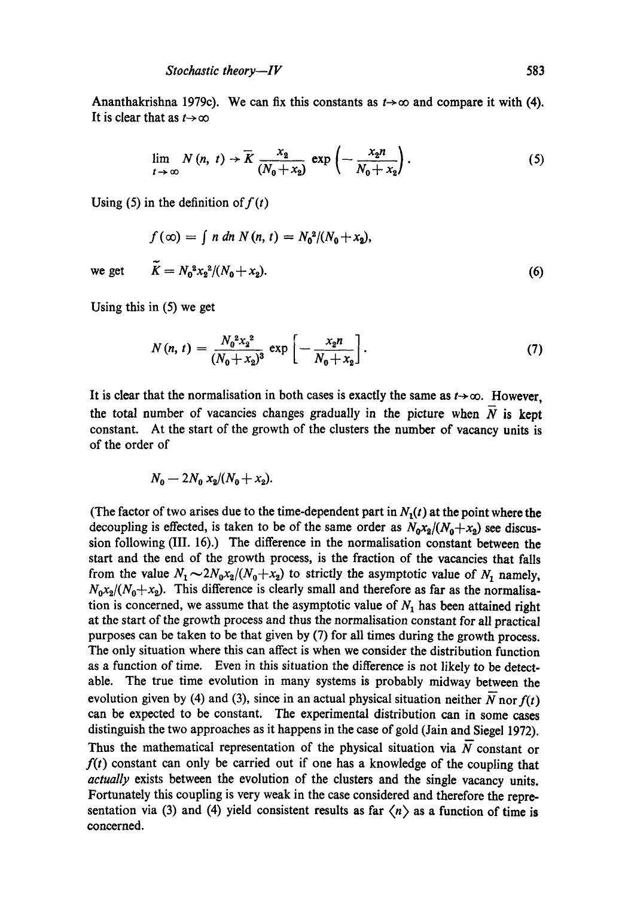Ananthakrishna 1979c). We can fix this constants as  $t\rightarrow\infty$  and compare it with (4). It is clear that as  $t\rightarrow\infty$ 

$$
\lim_{t\to\infty} N(n, t) \to \overline{K} \frac{x_2}{(N_0 + x_2)} \exp\left(-\frac{x_2 n}{N_0 + x_2}\right).
$$
 (5)

Using (5) in the definition of  $f(t)$ 

$$
f(\infty) = \int n \, dn \, N(n, t) = N_0^2/(N_0 + x_2),
$$
  

$$
\tilde{K} = N_0^2 x_2^2/(N_0 + x_2).
$$
 (6)

we get

Using this in (5) we get

$$
N(n, t) = \frac{N_0^2 x_2^2}{(N_0 + x_2)^3} \exp \left[ -\frac{x_2 n}{N_0 + x_2} \right].
$$
 (7)

It is clear that the normalisation in both cases is exactly the same as  $t \rightarrow \infty$ . However, the total number of vacancies changes gradually in the picture when  $N$  is kept constant. At the start of the growth of the clusters the number of vacancy units is of the order of

$$
N_0 - 2N_0 x_2/(N_0 + x_2).
$$

(The factor of two arises due to the time-dependent part in  $N_1(t)$  at the point where the decoupling is effected, is taken to be of the same order as  $N_0x_2/(N_0+x_2)$  see discussion following (III. 16).) The difference in the normalisation constant between the start and the end of the growth process, is the fraction of the vacancies that falls from the value  $N_1 \sim 2N_0x_2/(N_0+x_2)$  to strictly the asymptotic value of  $N_1$  namely,  $N_0x_2/(N_0+x_2)$ . This difference is clearly small and therefore as far as the normalisation is concerned, we assume that the asymptotic value of  $N_1$  has been attained right at the start of the growth process and thus the normalisation constant for all practical purposes can be taken to be that given by (7) for all times during the growth process. The only situation where this can affect is when we consider the distribution function as a function of time. Even in this situation the difference is not likely to be detectable. The true time evolution in many systems is probably midway between the evolution given by (4) and (3), since in an actual physical situation neither  $\overline{N}$  nor  $f(t)$ can be expected to be constant. The experimental distribution can in some cases distinguish the two approaches as it happens in the case of gold (Jain and Siegel 1972). Thus the mathematical representation of the physical situation via  $\overline{N}$  constant or *f(t)* constant can only be carried out if one has a knowledge of the coupling that *actually* exists between the evolution of the clusters and the single vacancy units. Fortunately this coupling is very weak in the case considered and therefore the representation via (3) and (4) yield consistent results as far  $\langle n \rangle$  as a function of time is concerned.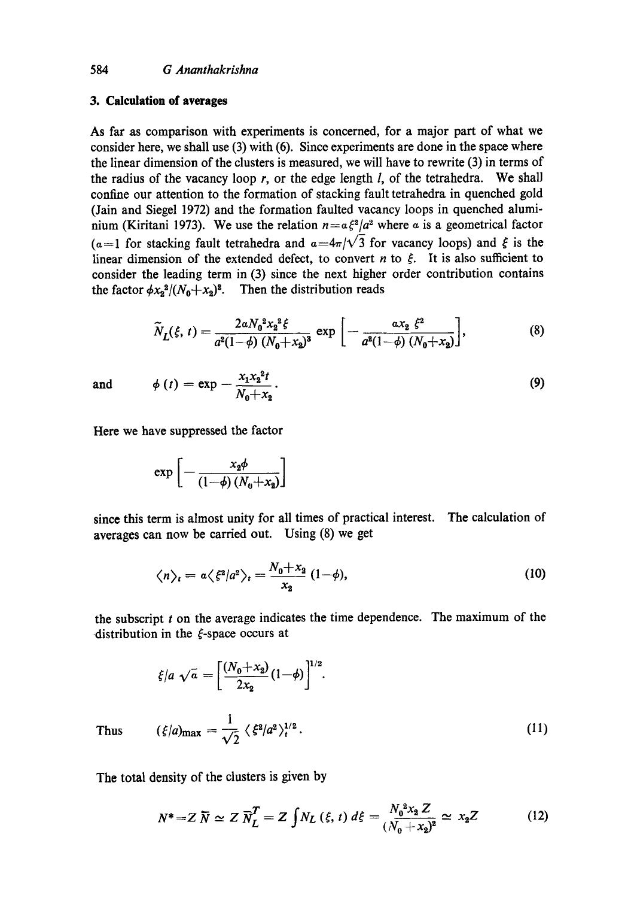## **3. Calculation of averages**

As far as comparison with experiments is concerned, for a major part of what we consider here, we shall use (3) with (6). Since experiments are done in the space where the linear dimension of the clusters is measured, we will have to rewrite (3) in terms of the radius of the vacancy loop  $r$ , or the edge length  $l$ , of the tetrahedra. We shall confine our attention to the formation of stacking fault tetrahedra in quenched gold (Jain and Siegel 1972) and the formation faulted vacancy loops in quenched aluminium (Kiritani 1973). We use the relation  $n=a\xi^2/a^2$  where a is a geometrical factor  $(a=1$  for stacking fault tetrahedra and  $a=4\pi/\sqrt{3}$  for vacancy loops) and  $\xi$  is the linear dimension of the extended defect, to convert n to  $\xi$ . It is also sufficient to consider the leading term in (3) since the next higher order contribution contains the factor  $\phi x_2^2/(N_0+x_2)^2$ . Then the distribution reads

$$
\widetilde{N}_L(\xi, t) = \frac{2aN_0^2x_2^2\xi}{a^2(1-\phi)(N_0+x_2)^3} \exp\left[-\frac{ax_2\xi^2}{a^2(1-\phi)(N_0+x_2)}\right],
$$
\n(8)

and 
$$
\phi(t) = \exp -\frac{x_1 x_2^2 t}{N_0 + x_2}
$$
. (9)

Here we have suppressed the factor

$$
\exp\left[-\frac{x_2\phi}{\left(1-\phi\right)\left(N_0+x_2\right)}\right]
$$

since this term is almost unity for all times of practical interest. The calculation of averages can now be carried out. Using (8) we get

$$
\langle n \rangle_t = a \langle \xi^2 | a^2 \rangle_t = \frac{N_0 + x_2}{x_2} (1 - \phi), \tag{10}
$$

the subscript  $t$  on the average indicates the time dependence. The maximum of the distribution in the  $\xi$ -space occurs at

$$
\xi/a \sqrt{a} = \left[ \frac{(N_0 + x_2)}{2x_2} (1 - \phi) \right]^{1/2}.
$$
  
Thus  $(\xi/a)_{\text{max}} = \frac{1}{\sqrt{2}} \langle \xi^2/a^2 \rangle_t^{1/2}.$  (11)

The total density of the clusters is given by

$$
N^* = Z \overline{N} \simeq Z \overline{N}_L^T = Z \int N_L (\xi, t) d\xi = \frac{N_0^2 x_2 Z}{(N_0 + x_2)^2} \simeq x_2 Z \tag{12}
$$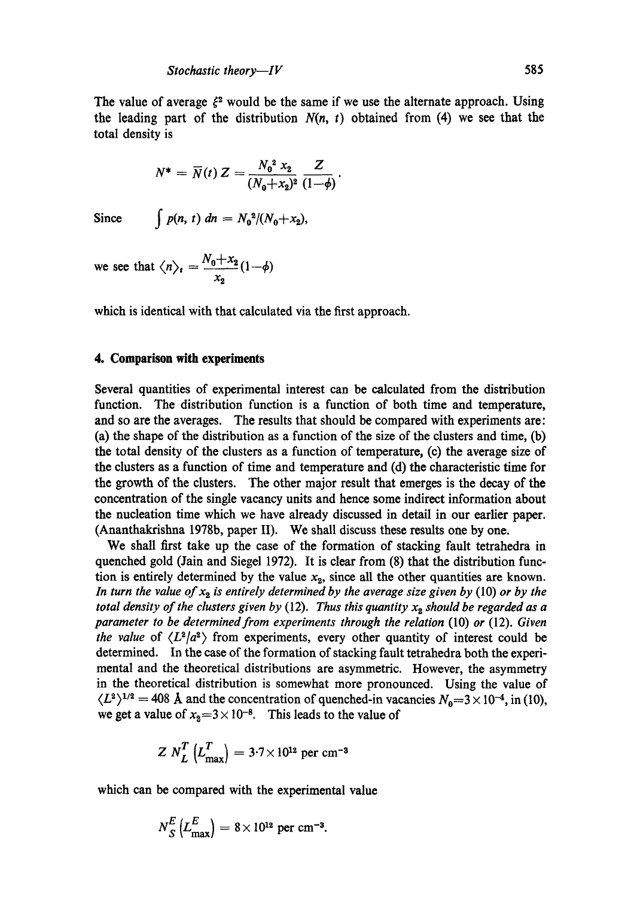The value of average  $\xi^2$  would be the same if we use the alternate approach. Using the leading part of the distribution  $N(n, t)$  obtained from (4) we see that the total density is

$$
N^* = \overline{N}(t) Z = \frac{N_0^2 x_2}{(N_0 + x_2)^2} \frac{Z}{(1 - \phi)}
$$

Since  $\int p(n, t) \, dn = N_0^2/(N_0 + x_2)$ ,

we see that 
$$
\langle n \rangle_t = \frac{N_0 + x_2}{r_1} (1 - \phi)
$$

 $x<sub>2</sub>$ 

which is identical with that calculated via the first approach.

#### **4. Comparison with experiments**

Several quantities of experimental interest can be calculated from the distribution function. The distribution function is a function of both time and temperature, and so are the averages. The results that should be compared with experiments are: (a) the shape of the distribution as a function of the size of the dusters and time, (b) the total density of the clusters as a function of temperature, (e) the average size of the clusters as a function of time and temperature and (d) the characteristic time for the growth of the dusters. The other major result that emerges is the decay of the concentration of the single vacancy units and hence some indirect information about the nucleation time which we have already discussed in detail in our earlier paper. (Ananthakrishna 1978b, paper II). We shall discuss these results one by one.

We shall first take up the case of the formation of stacking fault tetrahedra in quenched gold (Jain and Siegel 1972). It is clear from (8) that the distribution function is entirely determined by the value  $x<sub>2</sub>$ , since all the other quantities are known. *In turn the value of*  $x_2$  *is entirely determined by the average size given by (10) or by the total density of the clusters given by* (12). *Thus this quantity x*<sub>2</sub> *should be regarded as a parameter to be determined from experiments through the relation* (10) or (12). Given *the value* of  $\langle L^2/a^2 \rangle$  from experiments, every other quantity of interest could be determined. In the case of the formation of stacking fault tetrahedra both the experimental and the theoretical distributions are asymmetric. However, the asymmetry in the theoretical distribution is somewhat more pronounced. Using the value of  $\langle L^2 \rangle^{1/2} = 408$  Å and the concentration of quenched-in vacancies  $N_0 = 3 \times 10^{-4}$ , in (10), we get a value of  $x_2=3 \times 10^{-8}$ . This leads to the value of

$$
Z N_L^T (L_{\text{max}}^T) = 3.7 \times 10^{12} \text{ per cm}^{-3}
$$

which can be compared with the experimental value

$$
N_S^E\left(L_{\text{max}}^E\right) = 8 \times 10^{12} \text{ per cm}^{-3}.
$$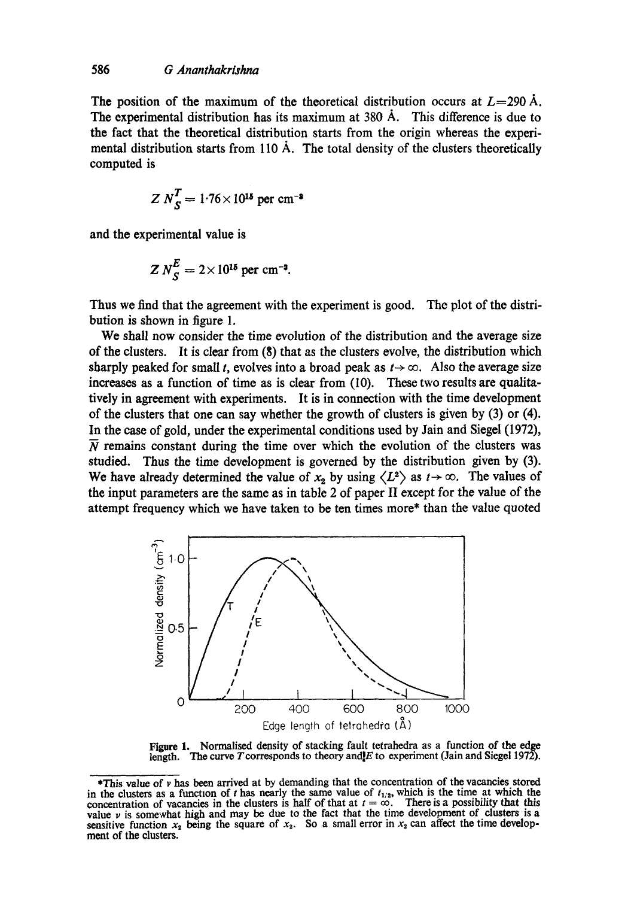The position of the maximum of the theoretical distribution occurs at  $L=290$  Å. The experimental distribution has its maximum at 380 A. This difference is due to the fact that the theoretical distribution starts from the origin whereas the experimental distribution starts from 110  $\dot{A}$ . The total density of the clusters theoretically computed is

$$
Z N_S^T = 1.76 \times 10^{15} \text{ per cm}^{-3}
$$

and the experimental value is

$$
Z N_S^E = 2 \times 10^{15}
$$
 per cm<sup>-3</sup>.

Thus we find that the agreement with the experiment is good. The plot of the distribution is shown in figure 1.

We shall now consider the time evolution of the distribution and the average size of the clusters. It is clear from (8) that as the clusters evolve, the distribution which sharply peaked for small t, evolves into a broad peak as  $t \rightarrow \infty$ . Also the average size increases as a function of time as is clear from (10). These two results are qualitatively in agreement with experiments. It is in connection with the time development of the clusters that one can say whether the growth of clusters is given by  $(3)$  or  $(4)$ . In the case of gold, under the experimental conditions used by Jain and Siegel (1972),  $\overline{N}$  remains constant during the time over which the evolution of the clusters was studied. Thus the time development is governed by the distribution given by (3). We have already determined the value of  $x_2$  by using  $\langle L^2 \rangle$  as  $t \to \infty$ . The values of the input parameters are the same as in table 2 of paper II except for the value of the attempt frequency which we have taken to be ten times more\* than the value quoted



**Figure 1.** Normalised density of stacking fault tetrahedra as a function of the edge length. The curve T corresponds to theory and  $E$  to experiment (Jain and Siegel 1972).

 $*$ This value of  $\nu$  has been arrived at by demanding that the concentration of the vacancies stored in the clusters as a function of t has nearly the same value of  $t_{1,2}$ , which is the time at which the concentration of vacancies in the clusters is half of that at  $t = \infty$ . There is a possibility that this value  $\nu$  is somewhat high and may be due to the fact that the time development of clusters is a sensitive function  $x_2$  being the square of  $x_2$ . So a small error in  $x_2$  can affect the time development of the clusters.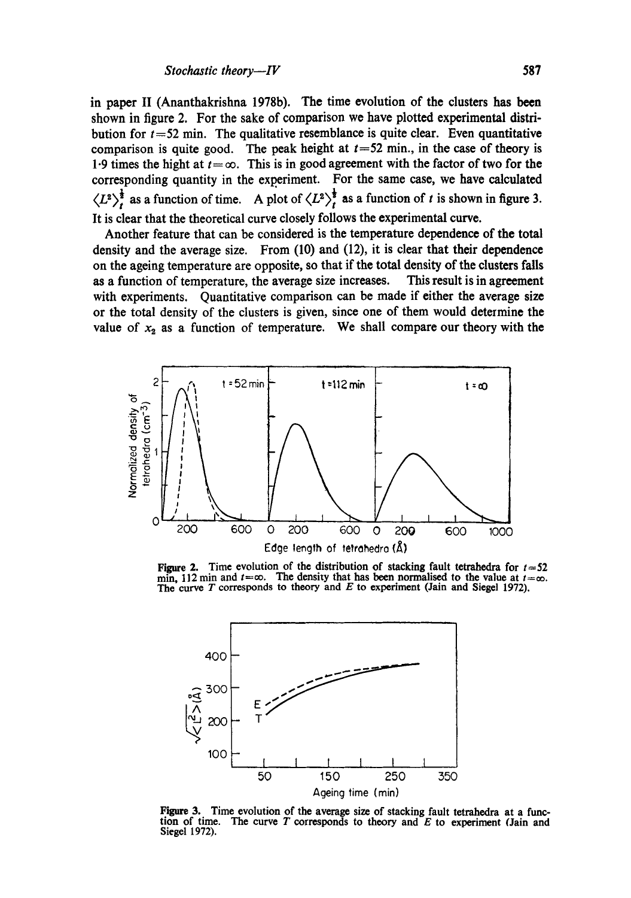in paper II (Ananthakrishna 1978b). The time evolution of the clusters has been shown in figure 2. For the sake of comparison we have plotted experimental distribution for  $t=52$  min. The qualitative resemblance is quite clear. Even quantitative comparison is quite good. The peak height at  $t=52$  min., in the case of theory is 1.9 times the hight at  $t = \infty$ . This is in good agreement with the factor of two for the corresponding quantity in the experiment. For the same case, we have calculated  $\langle L^2 \rangle_t^{\frac{1}{2}}$  as a function of time. A plot of  $\langle L^2 \rangle_t^{\frac{1}{2}}$  as a function of t is shown in figure 3. It is clear that the theoretical curve closely follows the experimental curve.

Another feature that can be considered is the temperature dependence of the total density and the average size. From (10) and (12), it is clear that their dependence on the ageing temperature are opposite, so that if the total density of the clusters falls as a function of temperature, the average size increases. This result is in agreement with experiments. Quantitative comparison can be made if either the average size or the total density of the clusters is given, since one of them would determine the value of  $x_2$  as a function of temperature. We shall compare our theory with the



Figure 2. Time evolution of the distribution of stacking fault tetrahedra for  $t=52$ min, 112 min and  $t=\infty$ . The density that has been normalised to the value at  $t=\infty$ . The curve  $T$  corresponds to theory and  $E$  to experiment (Jain and Siegel 1972).



**Figure 3.** Time evolution of the average size of stacking fault tetrahedra at a function of time. The curve T corresponds to theory and E to experiment (Jain and The curve  $T$  corresponds to theory and  $E$  to experiment (Jain and **Siegel 1972).**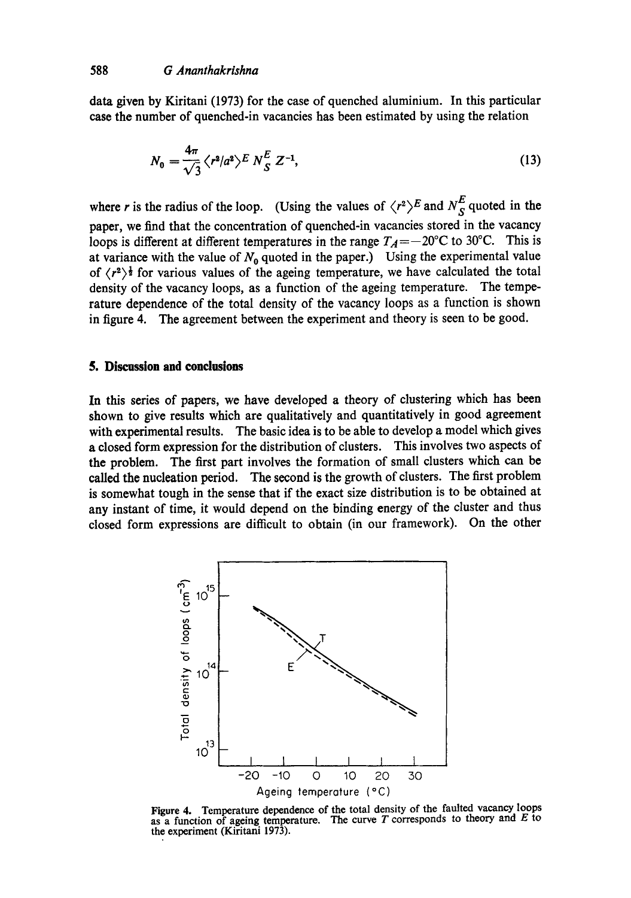data given by Kiritani (1973) for the case of quenched aluminium. In this particular case the number of quenched-in vacancies has been estimated by using the relation

$$
N_0 = \frac{4\pi}{\sqrt{3}} \langle r^2/a^2 \rangle^E N_S^E Z^{-1}, \qquad (13)
$$

where r is the radius of the loop. (Using the values of  $\langle r^2 \rangle^E$  and  $N_S^E$  quoted in the paper, we find that the concentration of quenched-in vacancies stored in the vacancy loops is different at different temperatures in the range  $T_A = -20^{\circ}$ C to 30°C. This is at variance with the value of  $N_0$  quoted in the paper.) Using the experimental value of  $\langle r^2 \rangle^{\frac{1}{2}}$  for various values of the ageing temperature, we have calculated the total density of the vacancy loops, as a function of the ageing temperature. The temperature dependence of the total density of the vacancy loops as a function is shown in figure 4. The agreement between the experiment and theory is seen to be good.

# **5. Discussion and conclusions**

In this series of papers, we have developed a theory of clustering which has been shown to give results which are qualitatively and quantitatively in good agreement with experimental results. The basic idea is to be able to develop a model which gives a closed form expression for the distribution of clusters. This involves two aspects of the problem. The first part involves the formation of small clusters which can be called the nucleation period. The second is the growth of clusters. The first problem is somewhat tough in the sense that if the exact size distribution is to be obtained at any instant of time, it would depend on the binding energy of the cluster and thus closed form expressions are difficult to obtain (in our framework). On the other



Figure 4. Temperature dependence of the total density of the faulted vacancy loops as a function of ageing temperature. The curve  $T$  corresponds to theory and  $E$  to the experiment (Kiritani 1973).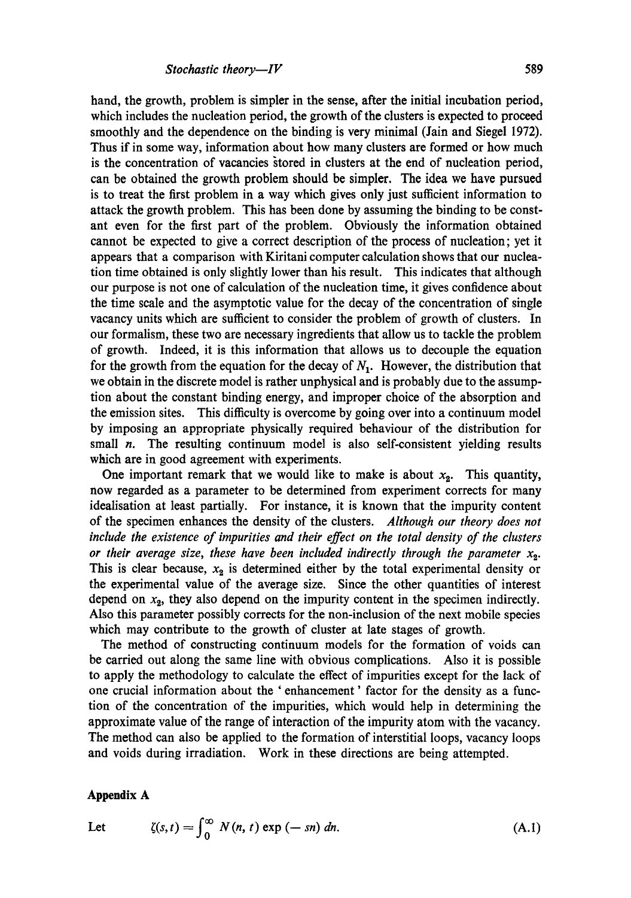hand, the growth, problem is simpler in the sense, after the initial incubation period, which includes the nucleation period, the growth of the clusters is expected to proceed smoothly and the dependence on the binding is very minimal (Jain and Siegel 1972). Thus if in some way, information about how many dusters are formed or how much is the concentration of vacancies stored in clusters at the end of nucleation period, can be obtained the growth problem should be simpler. The idea we have pursued is to treat the first problem in a way which gives only just sufficient information to attack the growth problem. This has been done by assuming the binding to be constant even for the first part of the problem. Obviously the information obtained cannot be expected to give a correct description of the process of nucleation; yet it appears that a comparison with Kiritani computer calculation shows that our nucleation time obtained is only slightly lower than his result. This indicates that although our purpose is not one of calculation of the nucleation time, it gives confidence about the time scale and the asymptotic value for the decay of the concentration of single vacancy units which are sufficient to consider the problem of growth of clusters. In our formalism, these two are necessary ingredients that allow us to tackle the problem of growth. Indeed, it is this information that allows us to decouple the equation for the growth from the equation for the decay of  $N_1$ . However, the distribution that we obtain in the discrete model is rather unphysical and is probably due to the assumption about the constant binding energy, and improper choice of the absorption and the emission sites. This difficulty is overcome by going over into a continuum model by imposing an appropriate physically required behaviour of the distribution for small  $n$ . The resulting continuum model is also self-consistent yielding results which are in good agreement with experiments.

One important remark that we would like to make is about  $x_2$ . This quantity, now regarded as a parameter to be determined from experiment corrects for many idealisation at least partially. For instance, it is known that the impurity content of the specimen enhances the density of the dusters. *Although our theory does not include the existence of impurities and their effect on the total density of the clusters*  or their average size, these have been included indirectly through the parameter  $x_2$ . This is clear because,  $x_2$  is determined either by the total experimental density or the experimental value of the average size. Since the other quantities of interest depend on  $x_2$ , they also depend on the impurity content in the specimen indirectly. Also this parameter possibly corrects for the non-inclusion of the next mobile species which may contribute to the growth of cluster at late stages of growth.

The method of constructing continuum models for the formation of voids can be carried out along the same line with obvious complications. Also it is possible to apply the methodology to calculate the effect of impurities except for the lack of one crucial information about the ' enhancement' factor for the density as a function of the concentration of the impurities, which would help in determining the approximate value of the range of interaction of the impurity atom with the vacancy. The method can also be applied to the formation of interstitial loops, vacancy loops and voids during irradiation. Work in these directions are being attempted.

## **Appendix A**

Let 
$$
\zeta(s,t) = \int_0^\infty N(n, t) \exp(-sn) dn. \tag{A.1}
$$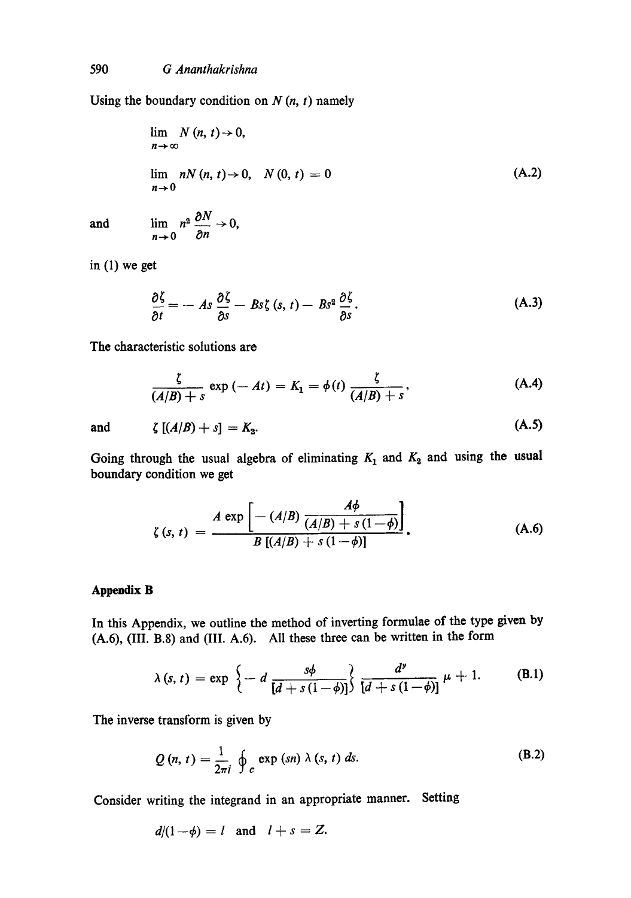# 590 *G Ananthakrishna*

Using the boundary condition on  $N(n, t)$  namely

$$
\lim_{n \to \infty} N(n, t) \to 0,
$$
  
\n
$$
\lim_{n \to 0} nN(n, t) \to 0, \quad N(0, t) = 0
$$
  
\n
$$
\lim_{n \to 0} n^2 \frac{\partial N}{\partial t} \to 0.
$$
 (A.2)

and  $\frac{1}{n}$ 

$$
\lim_{n\to 0} n^2 \frac{\partial^{2N}}{\partial n} \to 0,
$$

in (1) we get

$$
\frac{\partial \zeta}{\partial t} = -As \frac{\partial \zeta}{\partial s} - Bs \zeta (s, t) - Bs^2 \frac{\partial \zeta}{\partial s}.
$$
 (A.3)

The characteristic solutions are

$$
\frac{\zeta}{(A/B) + s} \exp(-At) = K_1 = \phi(t) \frac{\zeta}{(A/B) + s},
$$
 (A.4)

and 
$$
\zeta[(A/B) + s] = K_2. \tag{A.5}
$$

Going through the usual algebra of eliminating  $K_1$  and  $K_2$  and using the usual boundary condition we get

$$
\zeta(s, t) = \frac{A \exp \left[ - (A/B) \frac{A\phi}{(A/B) + s(1-\phi)} \right]}{B [(A/B) + s(1-\phi)]}.
$$
 (A.6)

## **Appendix B**

In this Appendix, we outline the method of inverting formulae of the type given by (A.6), (III. B.8) and (III. A.6). All these three can be written in the form

$$
\lambda(s,t) = \exp\left\{-d\frac{s\phi}{[d+s(1-\phi)]}\right\}\frac{d^y}{[d+s(1-\phi)]}\mu + 1. \tag{B.1}
$$

The inverse transform is given by

$$
Q(n, t) = \frac{1}{2\pi i} \oint_{C} \exp (sn) \lambda (s, t) ds.
$$
 (B.2)

Consider writing the integrand in an appropriate manner. Setting

$$
d/(1-\phi) = l \quad \text{and} \quad l+s=Z.
$$